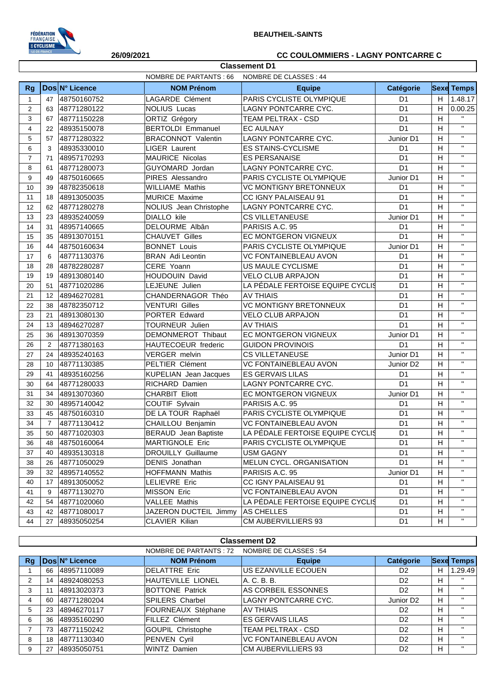

## **26/09/2021 CC COULOMMIERS - LAGNY PONTCARRE C**

|                |                   |                |                               | <b>Classement D1</b>             |                       |    |                       |
|----------------|-------------------|----------------|-------------------------------|----------------------------------|-----------------------|----|-----------------------|
|                |                   |                | <b>NOMBRE DE PARTANTS: 66</b> | NOMBRE DE CLASSES: 44            |                       |    |                       |
| <b>Rg</b>      |                   | Dos N° Licence | <b>NOM Prénom</b>             | <b>Equipe</b>                    | Catégorie             |    | <b>Sexe Temps</b>     |
| $\mathbf{1}$   | 47                | 48750160752    | LAGARDE Clément               | PARIS CYCLISTE OLYMPIQUE         | D <sub>1</sub>        | H. | 1.48.17               |
| 2              | 63                | 48771280122    | <b>NOLIUS Lucas</b>           | LAGNY PONTCARRE CYC.             | D <sub>1</sub>        | H  | 0.00.25               |
| 3              | 67                | 48771150228    | <b>ORTIZ Grégory</b>          | TEAM PELTRAX - CSD               | D <sub>1</sub>        | H  | $\mathbf{H}$          |
| $\overline{4}$ | 22                | 48935150078    | <b>BERTOLDI Emmanuel</b>      | <b>EC AULNAY</b>                 | D <sub>1</sub>        | H  | $\mathbf{H}$ .        |
| 5              | 57                | 48771280322    | <b>BRACONNOT Valentin</b>     | LAGNY PONTCARRE CYC.             | Junior D1             | H  | $\mathbf{H}^{\prime}$ |
| 6              | 3                 | 48935330010    | <b>LIGER Laurent</b>          | <b>ES STAINS-CYCLISME</b>        | D <sub>1</sub>        | H  | $\mathbf{H}^{\prime}$ |
| $\overline{7}$ | 71                | 48957170293    | MAURICE Nicolas               | <b>ES PERSANAISE</b>             | D <sub>1</sub>        | H  | $\mathbf{H}$          |
| 8              | 61                | 48771280073    | GUYOMARD Jordan               | LAGNY PONTCARRE CYC.             | D <sub>1</sub>        | H  | $\mathbf{H}^{\prime}$ |
| 9              | 49                | 48750160665    | PIRES Alessandro              | PARIS CYCLISTE OLYMPIQUE         | Junior D1             | H  | $\mathbf{H}$          |
| 10             | 39                | 48782350618    | <b>WILLIAME Mathis</b>        | <b>VC MONTIGNY BRETONNEUX</b>    | D <sub>1</sub>        | H  | $\mathbf{H}$          |
| 11             | 18                | 48913050035    | <b>MURICE Maxime</b>          | CC IGNY PALAISEAU 91             | D <sub>1</sub>        | H  | $\mathbf{H}$          |
| 12             | 62                | 48771280278    | NOLIUS Jean Christophe        | LAGNY PONTCARRE CYC.             | D <sub>1</sub>        | H  | $\mathbf{H}$          |
| 13             | 23                | 48935240059    | DIALLO kile                   | <b>CS VILLETANEUSE</b>           | Junior D1             | H  | $\mathbf{H}$          |
| 14             | 31                | 48957140665    | DELOURME Albân                | PARISIS A.C. 95                  | D <sub>1</sub>        | H  | $\mathbf{H}$          |
| 15             | 35                | 48913070151    | <b>CHAUVET Gilles</b>         | EC MONTGERON VIGNEUX             | D <sub>1</sub>        | H  | $\mathbf{H}$          |
| 16             | 44                | 48750160634    | <b>BONNET Louis</b>           | PARIS CYCLISTE OLYMPIQUE         | Junior D1             | H  | $\mathbf{H}$          |
| 17             | 6                 | 48771130376    | <b>BRAN</b> Adi Leontin       | <b>VC FONTAINEBLEAU AVON</b>     | D <sub>1</sub>        | H  | $\mathbf{H}$          |
| 18             | 28                | 48782280287    | CERE Yoann                    | US MAULE CYCLISME                | D <sub>1</sub>        | H  | $\mathbf{H}$          |
| 19             | 19                | 48913080140    | HOUDOUIN David                | <b>VELO CLUB ARPAJON</b>         | D <sub>1</sub>        | H  | $\mathbf{H}$          |
| 20             | 51                | 48771020286    | LEJEUNE Julien                | LA PÉDALE FERTOISE EQUIPE CYCLIS | D <sub>1</sub>        | H  | $\mathbf{H}$          |
| 21             | $12 \overline{ }$ | 48946270281    | CHANDERNAGOR Théo             | <b>AV THIAIS</b>                 | D <sub>1</sub>        | H  | $\mathbf{H}$          |
| 22             | 38                | 48782350712    | <b>VENTURI Gilles</b>         | <b>VC MONTIGNY BRETONNEUX</b>    | D <sub>1</sub>        | H  | $\mathbf{H}$          |
| 23             | 21                | 48913080130    | PORTER Edward                 | <b>VELO CLUB ARPAJON</b>         | D <sub>1</sub>        | H  | $\mathbf{H}$          |
| 24             | 13                | 48946270287    | TOURNEUR Julien               | <b>AV THIAIS</b>                 | D <sub>1</sub>        | H  | $\mathbf{H}$          |
| 25             | 36                | 48913070359    | DEMONMEROT Thibaut            | EC MONTGERON VIGNEUX             | Junior D1             | H  | $\mathbf{H}$          |
| 26             | 2                 | 48771380163    | HAUTECOEUR frederic           | <b>GUIDON PROVINOIS</b>          | D <sub>1</sub>        | H  | $\mathbf{H}$          |
| 27             | 24                | 48935240163    | <b>VERGER</b> melvin          | <b>CS VILLETANEUSE</b>           | Junior D1             | H  | $\mathbf{H}$          |
| 28             | 10                | 48771130385    | PELTIER Clément               | <b>VC FONTAINEBLEAU AVON</b>     | Junior D <sub>2</sub> | H  | $\mathbf{H}$          |
| 29             | 41                | 48935160256    | KUPELIAN Jean Jacques         | <b>ES GERVAIS LILAS</b>          | D <sub>1</sub>        | H  | $\mathbf{H}$          |
| 30             | 64                | 48771280033    | RICHARD Damien                | LAGNY PONTCARRE CYC.             | D <sub>1</sub>        | H  | $\mathbf{H}$          |
| 31             | 34                | 48913070360    | <b>CHARBIT Eliott</b>         | EC MONTGERON VIGNEUX             | Junior D1             | H  | $\mathbf{H}$          |
| 32             | 30                | 48957140042    | COUTIF Sylvain                | PARISIS A.C. 95                  | D <sub>1</sub>        | H  | $\mathbf{H}$          |
| 33             | 45                | 48750160310    | DE LA TOUR Raphaël            | PARIS CYCLISTE OLYMPIQUE         | D <sub>1</sub>        | H  | $\mathbf{H}$          |
| 34             | $\overline{7}$    | 48771130412    | CHAILLOU Benjamin             | <b>VC FONTAINEBLEAU AVON</b>     | D <sub>1</sub>        | H  | $\mathbf{H}$          |
| 35             | 50                | 48771020303    | <b>BERAUD</b> Jean Baptiste   | LA PÉDALE FERTOISE EQUIPE CYCLIS | D <sub>1</sub>        | H  | $\mathbf H$           |
| 36             | 48                | 48750160064    | <b>MARTIGNOLE Eric</b>        | PARIS CYCLISTE OLYMPIQUE         | D <sub>1</sub>        | H  |                       |
| 37             | 40                | 48935130318    | DROUILLY Guillaume            | USM GAGNY                        | D <sub>1</sub>        | H  | $\mathbf{H}$          |
| 38             | 26                | 48771050029    | DENIS Jonathan                | MELUN CYCL. ORGANISATION         | D <sub>1</sub>        | H  | $\mathbf{H}$          |
| 39             |                   | 32 48957140552 | HOFFMANN Mathis               | PARISIS A.C. 95                  | Junior D1             | H  | $\mathbf H$           |
| 40             |                   | 17 48913050052 | LELIEVRE Eric                 | CC IGNY PALAISEAU 91             | D <sub>1</sub>        | H  | $\mathbf{H}$          |
| 41             | 9                 | 48771130270    | <b>MISSON Eric</b>            | <b>VC FONTAINEBLEAU AVON</b>     | D <sub>1</sub>        | H  | $\mathbf{H}$          |
| 42             | 54                | 48771020060    | VALLEE Mathis                 | LA PÉDALE FERTOISE EQUIPE CYCLIS | D <sub>1</sub>        | Н  | $\mathbf{H}$          |
| 43             |                   | 42 48771080017 | JAZERON DUCTEIL Jimmy         | AS CHELLES                       | D <sub>1</sub>        | Н  | $\mathbf{H}$          |
| 44             |                   | 27 48935050254 | CLAVIER Kilian                | CM AUBERVILLIERS 93              | D <sub>1</sub>        | H  | $\mathbf{H}$          |

|    | <b>Classement D2</b> |                |                                                |                              |                       |   |                   |
|----|----------------------|----------------|------------------------------------------------|------------------------------|-----------------------|---|-------------------|
|    |                      |                | NOMBRE DE PARTANTS : 72 NOMBRE DE CLASSES : 54 |                              |                       |   |                   |
| Rq |                      | Dos N° Licence | <b>NOM Prénom</b>                              | <b>Equipe</b>                | Catégorie             |   | <b>Sexe Temps</b> |
|    | 66                   | 48957110089    | <b>IDELATTRE Eric</b>                          | US EZANVILLE ECOUEN          | D <sub>2</sub>        | н | 1.29.49           |
| 2  | 14                   | 48924080253    | HAUTEVILLE LIONEL                              | A. C. B. B.                  | D <sub>2</sub>        | H | $\mathbf{H}$      |
| 3  |                      | 48913020373    | <b>BOTTONE Patrick</b>                         | AS CORBEIL ESSONNES          | D <sub>2</sub>        | H |                   |
| 4  | 60                   | 48771280204    | SPILERS Charbel                                | LAGNY PONTCARRE CYC.         | Junior D <sub>2</sub> | H | $\mathbf{H}$      |
| 5  | 23                   | 48946270117    | FOURNEAUX Stéphane                             | IAV THIAIS                   | D <sub>2</sub>        | H | $\mathbf{H}$      |
| 6  | 36                   | 48935160290    | FILLEZ Clément                                 | <b>ES GERVAIS LILAS</b>      | D <sub>2</sub>        | H | $\mathbf{H}$      |
|    | 73                   | 48771150242    | <b>GOUPIL Christophe</b>                       | <b>TEAM PELTRAX - CSD</b>    | D <sub>2</sub>        | H | $\mathbf{H}$      |
| 8  | 18                   | 48771130340    | PENVEN Cyril                                   | <b>VC FONTAINEBLEAU AVON</b> | D <sub>2</sub>        | H | $\mathbf{H}$      |
| 9  | 27                   | 48935050751    | WINTZ Damien                                   | <b>CM AUBERVILLIERS 93</b>   | D <sub>2</sub>        | H | $\mathbf{H}$      |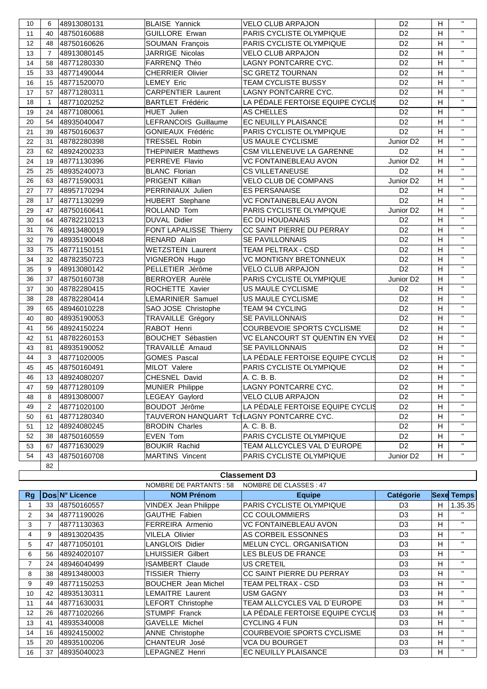| 10 | 6                    | 48913080131    | <b>BLAISE Yannick</b>                     | <b>VELO CLUB ARPAJON</b>               | D <sub>2</sub>        | H              | $\mathbf{H}$   |
|----|----------------------|----------------|-------------------------------------------|----------------------------------------|-----------------------|----------------|----------------|
| 11 | 40                   | 48750160688    | <b>GUILLORE Erwan</b>                     | PARIS CYCLISTE OLYMPIQUE               | D <sub>2</sub>        | H              | $\mathbf{H}$   |
| 12 | 48                   | 48750160626    | SOUMAN François                           | PARIS CYCLISTE OLYMPIQUE               | D <sub>2</sub>        | H              | $\mathbf{H}$   |
| 13 | $\overline{7}$       | 48913080145    | JARRIGE Nicolas                           | <b>VELO CLUB ARPAJON</b>               | D <sub>2</sub>        | H              | $\mathbf{H}$   |
| 14 | 58                   | 48771280330    | FARRENQ Théo                              | LAGNY PONTCARRE CYC.                   | D <sub>2</sub>        | H              | $\mathbf{H}$   |
| 15 | 33                   | 48771490044    | <b>CHERRIER Olivier</b>                   | <b>SC GRETZ TOURNAN</b>                | D <sub>2</sub>        | H              | $\mathbf{H}$   |
| 16 | 15                   | 48771520070    | <b>LEMEY Eric</b>                         | TEAM CYCLISTE BUSSY                    | D <sub>2</sub>        | H              | $\mathbf{H}$   |
| 17 | 57                   | 48771280311    | <b>CARPENTIER Laurent</b>                 | LAGNY PONTCARRE CYC.                   | D <sub>2</sub>        | H              | $\mathbf{H}$   |
| 18 | $\mathbf{1}$         | 48771020252    | <b>BARTLET Frédéric</b>                   | LA PÉDALE FERTOISE EQUIPE CYCLIS       | D <sub>2</sub>        | H              | $\mathbf{H}$   |
| 19 | 24                   | 48771080061    | <b>HUET Julien</b>                        | AS CHELLES                             | D <sub>2</sub>        | H              | $\mathbf{H}$   |
| 20 | 54                   | 48935040047    | LEFRANCOIS Guillaume                      | EC NEUILLY PLAISANCE                   | D <sub>2</sub>        | H              | $\mathbf{H}$   |
| 21 | 39                   | 48750160637    | <b>GONIEAUX Frédéric</b>                  | PARIS CYCLISTE OLYMPIQUE               | D <sub>2</sub>        | H              | $\mathbf{H}$   |
| 22 | 31                   | 48782280398    | TRESSEL Robin                             | US MAULE CYCLISME                      | Junior D <sub>2</sub> | H              | $\mathbf{H}$   |
| 23 | 62                   | 48924200233    | <b>THEPINIER Matthews</b>                 | CSM VILLENEUVE LA GARENNE              | D <sub>2</sub>        | H              | $\mathbf{H}$   |
| 24 | 19                   | 48771130396    | PERREVE Flavio                            | <b>VC FONTAINEBLEAU AVON</b>           | Junior D <sub>2</sub> | H              | $\mathbf{H}$   |
| 25 | 25                   | 48935240073    | <b>BLANC Florian</b>                      | <b>CS VILLETANEUSE</b>                 | D <sub>2</sub>        | H              | $\mathbf{H}$   |
| 26 | 63                   | 48771590031    | PRIGENT Killian                           | <b>VELO CLUB DE COMPANS</b>            | Junior D <sub>2</sub> | H              | $\mathbf{H}$   |
| 27 | 77                   | 48957170294    | PERRINIAUX Julien                         | <b>ES PERSANAISE</b>                   | D <sub>2</sub>        | H              | $\mathbf{H}$   |
| 28 | 17                   | 48771130299    | HUBERT Stephane                           | <b>VC FONTAINEBLEAU AVON</b>           | D <sub>2</sub>        | H              | $\mathbf{H}$   |
| 29 | 47                   | 48750160641    | ROLLAND Tom                               | PARIS CYCLISTE OLYMPIQUE               | Junior D <sub>2</sub> | H              | $\mathbf{H}$   |
| 30 | 64                   | 48782210213    | DUVAL Didier                              | EC DU HOUDANAIS                        | D <sub>2</sub>        | H              | $\mathbf{H}$   |
| 31 | 76                   | 48913480019    | FONT LAPALISSE Thierry                    | CC SAINT PIERRE DU PERRAY              | D <sub>2</sub>        | H              | $\mathbf{H}$   |
| 32 | 79                   | 48935190048    | RENARD Alain                              | SE PAVILLONNAIS                        | D <sub>2</sub>        | H              | $\mathbf{H}$   |
| 33 | 75                   | 48771150151    | <b>WETZSTEIN Laurent</b>                  | TEAM PELTRAX - CSD                     | D <sub>2</sub>        | H              | $\mathbf{H}$   |
| 34 | 32                   | 48782350723    | VIGNERON Hugo                             | <b>VC MONTIGNY BRETONNEUX</b>          | D <sub>2</sub>        | H              | $\mathbf{H}$   |
| 35 | 9                    | 48913080142    | PELLETIER Jérôme                          | <b>VELO CLUB ARPAJON</b>               | D <sub>2</sub>        | H              | $\mathbf{H}$   |
| 36 | 37                   | 48750160738    | <b>BERROYER Aurèle</b>                    | PARIS CYCLISTE OLYMPIQUE               | Junior D <sub>2</sub> | H              | $\mathbf{H}$   |
| 37 | 30                   | 48782280415    | ROCHETTE Xavier                           | US MAULE CYCLISME                      | D <sub>2</sub>        | H              | $\mathbf{H}$   |
| 38 | 28                   | 48782280414    | LEMARINIER Samuel                         | US MAULE CYCLISME                      | D <sub>2</sub>        | H              | $\mathbf{H}$   |
| 39 | 65                   | 48946010228    | SAO JOSE Christophe                       | TEAM 94 CYCLING                        | D <sub>2</sub>        | H              | $\mathbf{H}$   |
| 40 | 80                   | 48935190053    | <b>TRAVAILLE Grégory</b>                  | SE PAVILLONNAIS                        | D <sub>2</sub>        | H              | $\mathbf{H}$   |
| 41 | 56                   | 48924150224    | RABOT Henri                               | COURBEVOIE SPORTS CYCLISME             | D <sub>2</sub>        | H              | $\mathbf{H}$   |
| 42 | 51                   | 48782260153    | <b>BOUCHET Sébastien</b>                  | <b>VC ELANCOURT ST QUENTIN EN YVEL</b> | D <sub>2</sub>        | H              | $\mathbf{H}$   |
| 43 | 81                   | 48935190052    | TRAVAILLÉ Arnaud                          | SE PAVILLONNAIS                        | D <sub>2</sub>        | H              | $\mathbf{H}$   |
| 44 | 3                    | 48771020005    | <b>GOMES Pascal</b>                       | LA PÉDALE FERTOISE EQUIPE CYCLIS       | D <sub>2</sub>        | H              | $\mathbf{H}$   |
| 45 | 45                   | 48750160491    | MILOT Valere                              | PARIS CYCLISTE OLYMPIQUE               | D <sub>2</sub>        | H              | $\mathbf{H}$   |
| 46 | 13                   | 48924080207    | CHESNEL David                             | A. C. B. B.                            | D <sub>2</sub>        | H              | $\mathbf{H}$   |
| 47 |                      | 59 48771280109 | MUNIER Philippe                           | LAGNY PONTCARRE CYC.                   | $\overline{D2}$       | $\overline{H}$ | $\mathbf{H}$ . |
| 48 | 8                    | 48913080007    | <b>LEGEAY Gaylord</b>                     | VELO CLUB ARPAJON                      | D <sub>2</sub>        | H              | $\mathbf{H}$   |
| 49 | $\mathbf{2}^{\circ}$ | 48771020100    | BOUDOT Jérôme                             | LA PÉDALE FERTOISE EQUIPE CYCLIS       | D <sub>2</sub>        | Н              | $\mathbf{H}$   |
| 50 | 61                   | 48771280340    | TAUVERON HANQUART TclLAGNY PONTCARRE CYC. |                                        | D <sub>2</sub>        | H              | $\mathbf{H}$   |
| 51 | 12 <sup>12</sup>     | 48924080245    | <b>BRODIN Charles</b>                     | A. C. B. B.                            | D <sub>2</sub>        | Н              | $\mathbf{H}$   |
| 52 | 38                   | 48750160559    | EVEN Tom                                  | PARIS CYCLISTE OLYMPIQUE               | D <sub>2</sub>        | Н              | $\mathbf{H}$   |
| 53 | 67                   | 48771630029    | <b>BOUKIR Rachid</b>                      | TEAM ALLCYCLES VAL D'EUROPE            | D <sub>2</sub>        | Н              | $\mathbf{H}$   |
| 54 | 43                   | 48750160708    | <b>MARTINS Vincent</b>                    | PARIS CYCLISTE OLYMPIQUE               | Junior D2             | H              | $\mathbf{H}$   |
|    | 82                   |                |                                           |                                        |                       |                |                |

## **Classement D3**

|    |    |                | NOMBRE DE PARTANTS : 58    | NOMBRE DE CLASSES : 47            |                |   |                   |
|----|----|----------------|----------------------------|-----------------------------------|----------------|---|-------------------|
| Rq |    | Dos N° Licence | <b>NOM Prénom</b>          | <b>Equipe</b>                     | Catégorie      |   | <b>Sexe Temps</b> |
|    | 33 | 48750160557    | VINDEX Jean Philippe       | <b>PARIS CYCLISTE OLYMPIQUE</b>   | D <sub>3</sub> | н | 1.35.35           |
| 2  | 34 | 48771190026    | <b>GAUTHE Fabien</b>       | <b>CC COULOMMIERS</b>             | D <sub>3</sub> | H | $\mathbf{H}$      |
| 3  |    | 48771130363    | FERREIRA Armenio           | VC FONTAINEBLEAU AVON             | D <sub>3</sub> | H | $\mathbf{H}$      |
| 4  | 9  | 48913020435    | <b>VILELA Olivier</b>      | AS CORBEIL ESSONNES               | D <sub>3</sub> | H | $\mathbf{H}$      |
| 5  | 47 | 48771050101    | LANGLOIS Didier            | MELUN CYCL, ORGANISATION          | D <sub>3</sub> | H | $\mathbf{H}$      |
| 6  | 56 | 48924020107    | LHUISSIER Gilbert          | LES BLEUS DE FRANCE               | D <sub>3</sub> | н | $\mathbf{H}$      |
| 7  | 24 | 48946040499    | <b>ISAMBERT Claude</b>     | <b>US CRETEIL</b>                 | D <sub>3</sub> | H | $\mathbf{H}$      |
| 8  | 38 | 48913480003    | TISSIER Thierry            | CC SAINT PIERRE DU PERRAY         | D <sub>3</sub> | H | $\mathbf{H}$      |
| 9  | 49 | 48771150253    | <b>BOUCHER</b> Jean Michel | TEAM PELTRAX - CSD                | D <sub>3</sub> | H | $\mathbf{H}$      |
| 10 | 42 | 48935130311    | LEMAITRE Laurent           | <b>USM GAGNY</b>                  | D <sub>3</sub> | H | $\mathbf{H}$      |
| 11 | 44 | 48771630031    | <b>LEFORT Christophe</b>   | TEAM ALLCYCLES VAL D'EUROPE       | D <sub>3</sub> | H | $\mathbf{H}$      |
| 12 | 26 | 48771020266    | <b>STUMPF Franck</b>       | LA PÉDALE FERTOISE EQUIPE CYCLIS  | D <sub>3</sub> | H | $\mathbf{H}$      |
| 13 | 41 | 48935340008    | <b>GAVELLE Michel</b>      | <b>CYCLING 4 FUN</b>              | D <sub>3</sub> | H | $\mathbf{H}$      |
| 14 | 16 | 48924150002    | <b>ANNE Christophe</b>     | <b>COURBEVOIE SPORTS CYCLISME</b> | D <sub>3</sub> | н | $\mathbf{H}$      |
| 15 | 20 | 48935100206    | CHANTEUR José              | <b>VCA DU BOURGET</b>             | D <sub>3</sub> | н | $\mathbf{H}$      |
| 16 | 37 | 48935040023    | LEPAGNEZ Henri             | EC NEUILLY PLAISANCE              | D <sub>3</sub> | H | $\mathbf{H}$      |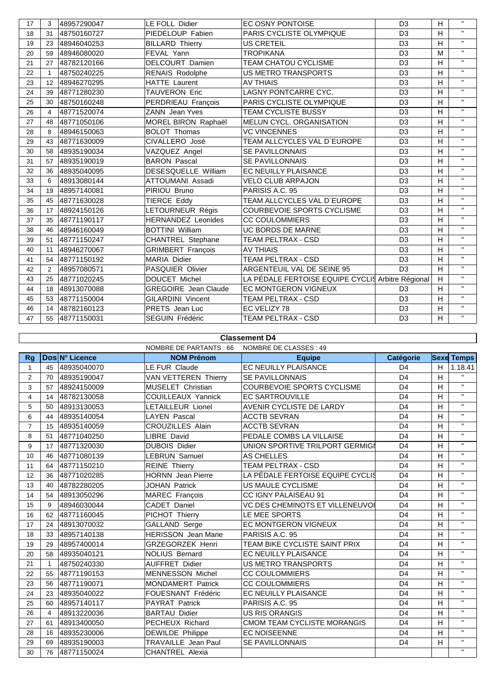| 17 | 3              | 48957290047 | <b>LE FOLL Didier</b>       | <b>EC OSNY PONTOISE</b>                           | D <sub>3</sub> | H | $\mathbf{H}$ |
|----|----------------|-------------|-----------------------------|---------------------------------------------------|----------------|---|--------------|
| 18 | 31             | 48750160727 | PIEDELOUP Fabien            | PARIS CYCLISTE OLYMPIQUE                          | D <sub>3</sub> | H | $\mathbf{H}$ |
| 19 | 23             | 48946040253 | <b>BILLARD Thierry</b>      | <b>US CRETEIL</b>                                 | D <sub>3</sub> | H | $\mathbf{H}$ |
| 20 | 59             | 48946080020 | FEVAL Yann                  | <b>TROPIKANA</b>                                  | D <sub>3</sub> | M | $\mathbf{H}$ |
| 21 | 27             | 48782120166 | DELCOURT Damien             | <b>TEAM CHATOU CYCLISME</b>                       | D <sub>3</sub> | H | $\mathbf{H}$ |
| 22 | 1              | 48750240225 | <b>RENAIS Rodolphe</b>      | US METRO TRANSPORTS                               | D <sub>3</sub> | H | $\mathbf{H}$ |
| 23 | 12             | 48946270295 | <b>HATTE Laurent</b>        | <b>AV THIAIS</b>                                  | D <sub>3</sub> | H | $\mathbf{H}$ |
| 24 | 39             | 48771280230 | TAUVERON Eric               | LAGNY PONTCARRE CYC.                              | D <sub>3</sub> | H | $\mathbf{H}$ |
| 25 | 30             | 48750160248 | PERDRIEAU François          | PARIS CYCLISTE OLYMPIQUE                          | D <sub>3</sub> | H | $\mathbf{H}$ |
| 26 | 4              | 48771520074 | <b>ZANN</b> Jean Yves       | TEAM CYCLISTE BUSSY                               | D <sub>3</sub> | H | $\mathbf{H}$ |
| 27 | 48             | 48771050106 | MOREL BIRON Raphaël         | MELUN CYCL. ORGANISATION                          | D <sub>3</sub> | H | $\mathbf{H}$ |
| 28 | 8              | 48946150063 | <b>BOLOT Thomas</b>         | <b>VC VINCENNES</b>                               | D <sub>3</sub> | H | $\mathbf{H}$ |
| 29 | 43             | 48771630009 | CIVALLERO José              | TEAM ALLCYCLES VAL D`EUROPE                       | D <sub>3</sub> | H | $\mathbf{H}$ |
| 30 | 58             | 48935190034 | VAZQUEZ Angel               | <b>SE PAVILLONNAIS</b>                            | D <sub>3</sub> | H | $\mathbf{H}$ |
| 31 | 57             | 48935190019 | <b>BARON Pascal</b>         | <b>SE PAVILLONNAIS</b>                            | D <sub>3</sub> | H | $\mathbf{H}$ |
| 32 | 36             | 48935040095 | DESESQUELLE William         | <b>EC NEUILLY PLAISANCE</b>                       | D <sub>3</sub> | H | $\mathbf{H}$ |
| 33 | 6              | 48913080144 | ATTOUMANI Assadi            | <b>VELO CLUB ARPAJON</b>                          | D <sub>3</sub> | H | $\mathbf{H}$ |
| 34 | 19             | 48957140081 | PIRIOU Bruno                | PARISIS A.C. 95                                   | D <sub>3</sub> | H | $\mathbf{H}$ |
| 35 | 45             | 48771630028 | TIERCE Eddy                 | TEAM ALLCYCLES VAL D'EUROPE                       | D <sub>3</sub> | H | $\mathbf{H}$ |
| 36 | 17             | 48924150126 | LETOURNEUR Régis            | <b>COURBEVOIE SPORTS CYCLISME</b>                 | D <sub>3</sub> | H | $\mathbf{H}$ |
| 37 | 35             | 48771190117 | <b>HERNANDEZ Leonides</b>   | <b>CC COULOMMIERS</b>                             | D <sub>3</sub> | H | $\mathbf{H}$ |
| 38 | 46             | 48946160049 | <b>BOTTINI William</b>      | UC BORDS DE MARNE                                 | D <sub>3</sub> | H | $\mathbf{H}$ |
| 39 | 51             | 48771150247 | CHANTREL Stephane           | TEAM PELTRAX - CSD                                | D <sub>3</sub> | H | $\mathbf{H}$ |
| 40 | 11             | 48946270067 | <b>GRIMBERT François</b>    | <b>AV THIAIS</b>                                  | D <sub>3</sub> | H | $\mathbf{H}$ |
| 41 | 54             | 48771150192 | MARIA Didier                | TEAM PELTRAX - CSD                                | D <sub>3</sub> | H | $\mathbf{H}$ |
| 42 | $\overline{2}$ | 48957080571 | PASQUIER Olivier            | ARGENTEUIL VAL DE SEINE 95                        | D <sub>3</sub> | H | $\mathbf{H}$ |
| 43 | 25             | 48771020245 | DOUCET Michel               | LA PÉDALE FERTOISE EQUIPE CYCLIS Arbitre Régional |                | H | $\mathbf{H}$ |
| 44 | 18             | 48913070088 | <b>GREGOIRE</b> Jean Claude | <b>EC MONTGERON VIGNEUX</b>                       | D <sub>3</sub> | H | $\mathbf{H}$ |
| 45 | 53             | 48771150004 | <b>GILARDINI Vincent</b>    | <b>TEAM PELTRAX - CSD</b>                         | D <sub>3</sub> | H | $\mathbf{H}$ |
| 46 | 14             | 48782160123 | PRETS Jean Luc              | EC VELIZY 78                                      | D <sub>3</sub> | H | $\mathbf{H}$ |
| 47 | 55             | 48771150031 | SEGUIN Frédéric             | TEAM PELTRAX - CSD                                | D <sub>3</sub> | H | $\mathbf{H}$ |

## **Classement D4**

|                |              |                | NOMBRE DE PARTANTS : 66    | NOMBRE DE CLASSES : 49            |                  |   |                   |
|----------------|--------------|----------------|----------------------------|-----------------------------------|------------------|---|-------------------|
| <b>Rg</b>      |              | Dos N° Licence | <b>NOM Prénom</b>          | <b>Equipe</b>                     | <b>Catégorie</b> |   | <b>Sexe Temps</b> |
| $\mathbf{1}$   | 45           | 48935040070    | LE FUR Claude              | EC NEUILLY PLAISANCE              | D <sub>4</sub>   | H | 1.18.41           |
| $\overline{2}$ | 70           | 48935190047    | VAN VETTEREN Thierry       | <b>ISE PAVILLONNAIS</b>           | D <sub>4</sub>   | H | $\mathbf{H}$      |
| 3              | 57           | 48924150009    | MUSELET Christian          | <b>COURBEVOIE SPORTS CYCLISME</b> | D <sub>4</sub>   | H | $\mathbf H$       |
| 4              | 14           | 48782130058    | <b>COUILLEAUX Yannick</b>  | <b>EC SARTROUVILLE</b>            | D <sub>4</sub>   | H | $\mathbf{H}$      |
| 5              | 50           | 48913130053    | LETAILLEUR Lionel          | <b>AVENIR CYCLISTE DE LARDY</b>   | D <sub>4</sub>   | H | $\mathbf H$       |
| 6              | 44           | 48935140054    | LAYEN Pascal               | <b>ACCTB SEVRAN</b>               | D <sub>4</sub>   | H | $\mathbf{H}$      |
| $\overline{7}$ | 15           | 48935140059    | <b>CROUZILLES Alain</b>    | <b>ACCTB SEVRAN</b>               | D <sub>4</sub>   | H | $\mathbf H$       |
| 8              | 51           | 48771040250    | <b>LIBRE David</b>         | PEDALE COMBS LA VILLAISE          | D <sub>4</sub>   | H | $\mathbf{H}$      |
| 9              | 17           | 48771320030    | <b>DUBOIS Didier</b>       | UNION SPORTIVE TRILPORT GERMIGI   | D <sub>4</sub>   | H | $\mathbf{H}$      |
| 10             | 46           | 48771080139    | LEBRUN Samuel              | <b>AS CHELLES</b>                 | D <sub>4</sub>   | H | $\mathbf{H}$      |
| 11             | 64           | 48771150210    | <b>REINE Thierry</b>       | <b>TEAM PELTRAX - CSD</b>         | D <sub>4</sub>   | H | $\mathbf{H}$      |
| 12             | 36           | 48771020285    | <b>HORNN</b> Jean Pierre   | LA PÉDALE FERTOISE EQUIPE CYCLIS  | D <sub>4</sub>   | H | $\mathbf{H}$      |
| 13             | 40           | 48782280205    | <b>JOHAN Patrick</b>       | US MAULE CYCLISME                 | D <sub>4</sub>   | H | $\mathbf{H}$      |
| 14             | 54           | 48913050296    | <b>MAREC François</b>      | <b>CC IGNY PALAISEAU 91</b>       | D <sub>4</sub>   | H | $\mathbf H$       |
| 15             | 9            | 48946030044    | CADET Daniel               | VC DES CHEMINOTS ET VILLENEUVOI   | D <sub>4</sub>   | H | $\mathbf{H}$      |
| 16             | 62           | 48771160045    | PICHOT Thierry             | LE MEE SPORTS                     | D <sub>4</sub>   | H | $\mathbf H$       |
| 17             | 24           | 48913070032    | GALLAND Serge              | <b>EC MONTGERON VIGNEUX</b>       | D <sub>4</sub>   | H | $\mathbf{H}$      |
| 18             | 33           | 48957140138    | <b>HERISSON</b> Jean Marie | PARISIS A.C. 95                   | D <sub>4</sub>   | H | $\mathbf{H}$      |
| 19             | 29           | 48957400014    | <b>GRZEGORZEK Henri</b>    | TEAM BIKE CYCLISTE SAINT PRIX     | D <sub>4</sub>   | H | $\mathbf H$       |
| 20             | 58           | 48935040121    | <b>NOLIUS Bernard</b>      | <b>EC NEUILLY PLAISANCE</b>       | D <sub>4</sub>   | H | $\mathbf{H}$      |
| 21             | $\mathbf{1}$ | 48750240330    | <b>AUFFRET Didier</b>      | <b>US METRO TRANSPORTS</b>        | D <sub>4</sub>   | H | $\mathbf{H}$      |
| 22             | 55           | 48771190153    | <b>MENNESSON Michel</b>    | <b>CC COULOMMIERS</b>             | D <sub>4</sub>   | H | $\mathbf{H}$      |
| 23             | 56           | 48771190071    | <b>MONDAMERT Patrick</b>   | <b>CC COULOMMIERS</b>             | D <sub>4</sub>   | H | $\mathbf H$       |
| 24             | 23           | 48935040022    | <b>FOUESNANT Frédéric</b>  | <b>EC NEUILLY PLAISANCE</b>       | D <sub>4</sub>   | H | $\mathbf{H}$      |
| 25             | 60           | 48957140117    | <b>PAYRAT Patrick</b>      | PARISIS A.C. 95                   | D <sub>4</sub>   | H | $\mathbf{H}$      |
| 26             | 4            | 48913220036    | <b>BARTAU Didier</b>       | <b>US RIS ORANGIS</b>             | D <sub>4</sub>   | H | $\mathbf{H}$      |
| 27             | 61           | 48913400050    | PECHEUX Richard            | CMOM TEAM CYCLISTE MORANGIS       | D <sub>4</sub>   | H | $\mathbf{H}$      |
| 28             | 16           | 48935230006    | <b>DEWILDE Philippe</b>    | <b>EC NOISEENNE</b>               | D <sub>4</sub>   | H | $\mathbf{H}$      |
| 29             | 69           | 48935190003    | TRAVAILLE Jean Paul        | <b>SE PAVILLONNAIS</b>            | D <sub>4</sub>   | H | $\mathbf{H}$      |
| 30             | 76           | 48771150024    | <b>CHANTREL Alexia</b>     |                                   |                  |   | $\mathbf{H}$      |